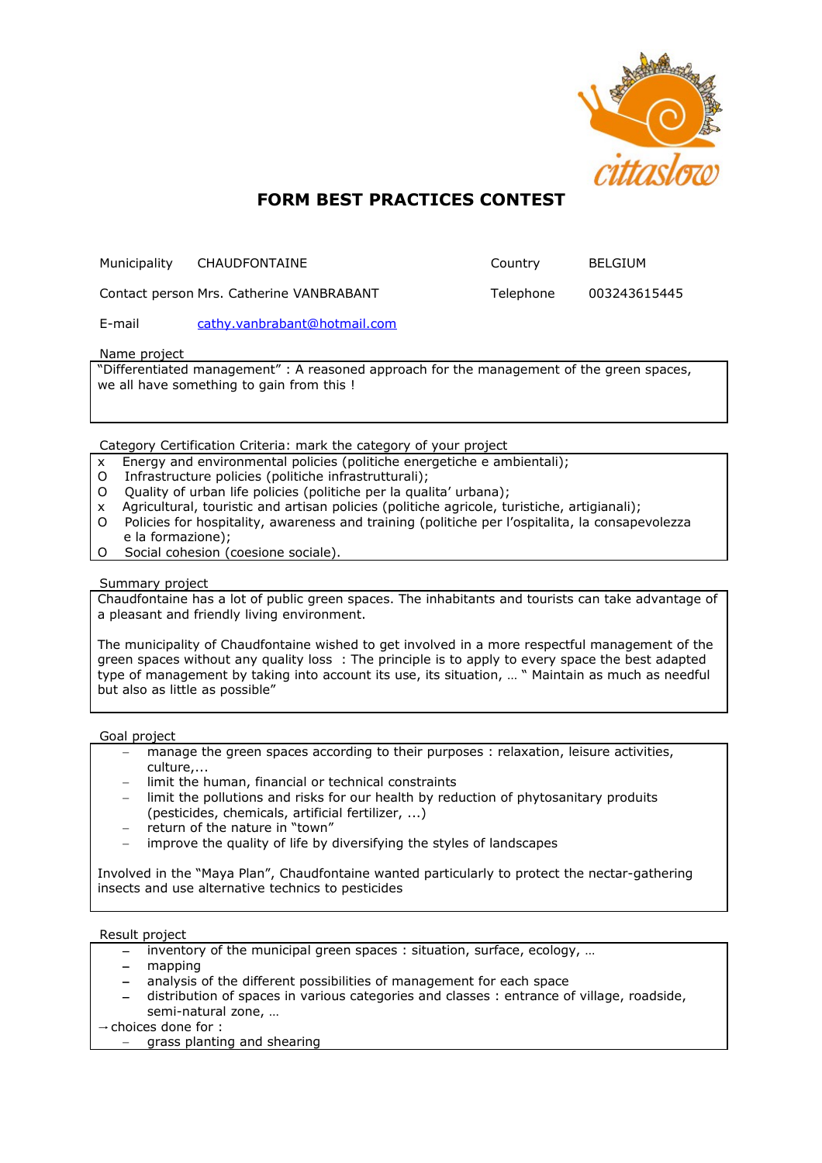

# **FORM BEST PRACTICES CONTEST**

| Municipality | CHAUDFONTAINE                            | Country   | BELGIUM      |
|--------------|------------------------------------------|-----------|--------------|
|              | Contact person Mrs. Catherine VANBRABANT | Telephone | 003243615445 |

E-mail [cathy.vanbrabant@hotmail.com](mailto:cathy.vanbrabant@hotmail.com)

Name project

"Differentiated management" : A reasoned approach for the management of the green spaces, we all have something to gain from this !

Category Certification Criteria: mark the category of your project

- x Energy and environmental policies (politiche energetiche e ambientali);
- O Infrastructure policies (politiche infrastrutturali);
- O Quality of urban life policies (politiche per la qualita' urbana);
- x Agricultural, touristic and artisan policies (politiche agricole, turistiche, artigianali);
- O Policies for hospitality, awareness and training (politiche per l'ospitalita, la consapevolezza e la formazione);
- O Social cohesion (coesione sociale).

#### Summary project

Chaudfontaine has a lot of public green spaces. The inhabitants and tourists can take advantage of a pleasant and friendly living environment.

The municipality of Chaudfontaine wished to get involved in a more respectful management of the green spaces without any quality loss : The principle is to apply to every space the best adapted type of management by taking into account its use, its situation, … " Maintain as much as needful but also as little as possible"

#### Goal project

- manage the green spaces according to their purposes : relaxation, leisure activities, culture,...
- limit the human, financial or technical constraints
- limit the pollutions and risks for our health by reduction of phytosanitary produits (pesticides, chemicals, artificial fertilizer, ...)
- return of the nature in "town"
- improve the quality of life by diversifying the styles of landscapes

Involved in the "Maya Plan", Chaudfontaine wanted particularly to protect the nectar-gathering insects and use alternative technics to pesticides

## Result project

- inventory of the municipal green spaces : situation, surface, ecology, …
- mapping
- analysis of the different possibilities of management for each space
- distribution of spaces in various categories and classes : entrance of village, roadside, semi-natural zone, …

 $\rightarrow$  choices done for :

grass planting and shearing